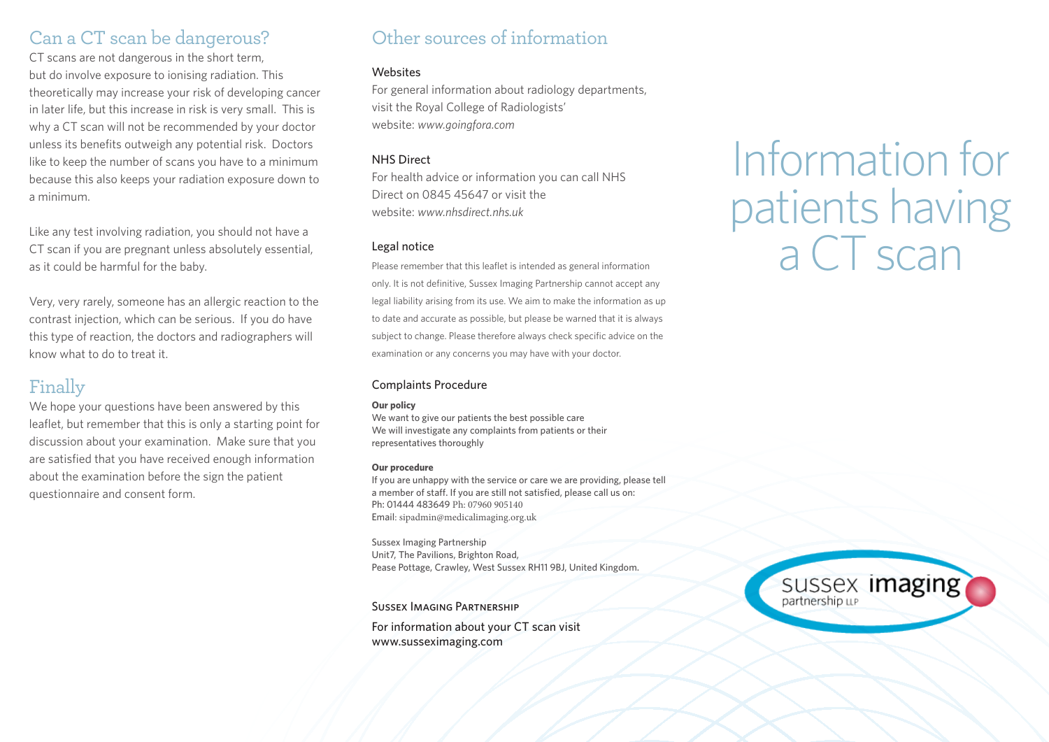## Can a CT scan be dangerous?

CT scans are not dangerous in the short term, but do involve exposure to ionising radiation. This theoretically may increase your risk of developing cancer in later life, but this increase in risk is very small. This is why a CT scan will not be recommended by your doctor unless its benefits outweigh any potential risk. Doctors like to keep the number of scans you have to a minimum because this also keeps your radiation exposure down to a minimum.

Like any test involving radiation, you should not have a CT scan if you are pregnant unless absolutely essential, as it could be harmful for the baby.

Very, very rarely, someone has an allergic reaction to the contrast injection, which can be serious. If you do have this type of reaction, the doctors and radiographers will know what to do to treat it.

# Finally

We hope your questions have been answered by this leaflet, but remember that this is only a starting point for discussion about your examination. Make sure that you are satisfied that you have received enough information about the examination before the sign the patient questionnaire and consent form.

## Other sources of information

### **Websites**

For general information about radiology departments, visit the Royal College of Radiologists' website: *www.goingfora.com*

### NHS Direct

For health advice or information you can call NHS Direct on 0845 45647 or visit the website: *www.nhsdirect.nhs.uk* 

### Legal notice

Please remember that this leaflet is intended as general information only. It is not definitive, Sussex Imaging Partnership cannot accept any legal liability arising from its use. We aim to make the information as up to date and accurate as possible, but please be warned that it is always subject to change. Please therefore always check specific advice on the examination or any concerns you may have with your doctor.

## Complaints Procedure

### **Our policy**

We want to give our patients the best possible care We will investigate any complaints from patients or their representatives thoroughly

### **Our procedure**

If you are unhappy with the service or care we are providing, please tell a member of staff. If you are still not satisfied, please call us on: Ph: 01444 483649 Ph: 07960 905140 Email: sipadmin@medicalimaging.org.uk

Sussex Imaging Partnership Unit7, The Pavilions, Brighton Road, Pease Pottage, Crawley, West Sussex RH11 9BJ, United Kingdom.

Sussex Imaging Partnership

For information about your CT scan visit www.susseximaging.com

# Information for patients having a CT scan